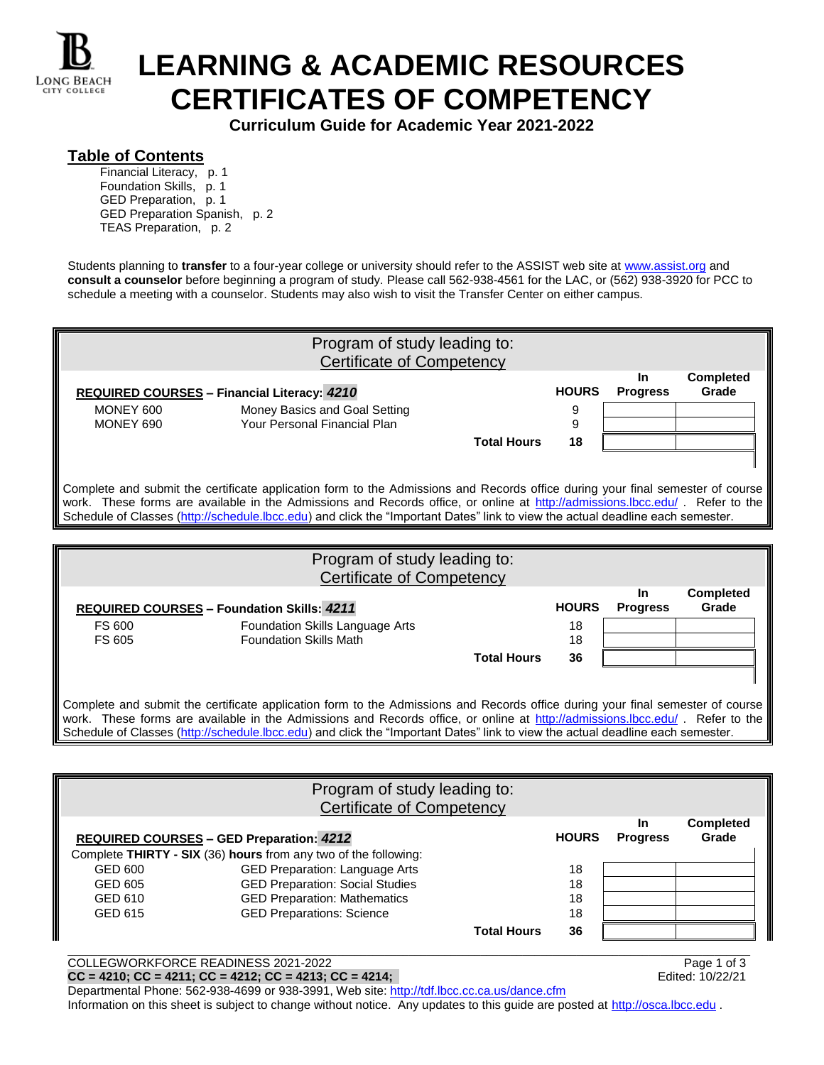

## **LEARNING & ACADEMIC RESOURCES CERTIFICATES OF COMPETENCY**

**Curriculum Guide for Academic Year 2021-2022**

## **Table of Contents**

Financial Literacy, p. 1 Foundation Skills, p. 1 GED Preparation, p. 1 GED Preparation Spanish, p. 2 TEAS Preparation, p. 2

Students planning to **transfer** to a four-year college or university should refer to the ASSIST web site at [www.assist.org](http://www.assist.org/) and **consult a counselor** before beginning a program of study. Please call 562-938-4561 for the LAC, or (562) 938-3920 for PCC to schedule a meeting with a counselor. Students may also wish to visit the Transfer Center on either campus.

| Program of study leading to:<br><b>Certificate of Competency</b>                                                                                                                                                                                                                                                                                                                                 |                                                                  |                    |              |                              |                           |
|--------------------------------------------------------------------------------------------------------------------------------------------------------------------------------------------------------------------------------------------------------------------------------------------------------------------------------------------------------------------------------------------------|------------------------------------------------------------------|--------------------|--------------|------------------------------|---------------------------|
|                                                                                                                                                                                                                                                                                                                                                                                                  | REQUIRED COURSES - Financial Literacy: 4210                      |                    | <b>HOURS</b> | In.<br><b>Progress</b>       | <b>Completed</b><br>Grade |
| MONEY 600<br>MONEY 690                                                                                                                                                                                                                                                                                                                                                                           | Money Basics and Goal Setting<br>Your Personal Financial Plan    |                    | 9<br>9       |                              |                           |
|                                                                                                                                                                                                                                                                                                                                                                                                  |                                                                  | <b>Total Hours</b> | 18           |                              |                           |
| Complete and submit the certificate application form to the Admissions and Records office during your final semester of course<br>work. These forms are available in the Admissions and Records office, or online at http://admissions.lbcc.edu/. Refer to the<br>Schedule of Classes (http://schedule.lbcc.edu) and click the "Important Dates" link to view the actual deadline each semester. |                                                                  |                    |              |                              |                           |
|                                                                                                                                                                                                                                                                                                                                                                                                  |                                                                  |                    |              |                              |                           |
|                                                                                                                                                                                                                                                                                                                                                                                                  |                                                                  |                    |              |                              |                           |
|                                                                                                                                                                                                                                                                                                                                                                                                  | Program of study leading to:<br>Certificate of Competency        |                    |              |                              |                           |
|                                                                                                                                                                                                                                                                                                                                                                                                  | <b>REQUIRED COURSES - Foundation Skills: 4211</b>                |                    | <b>HOURS</b> | <b>In</b><br><b>Progress</b> | <b>Completed</b><br>Grade |
| FS 600<br>FS 605                                                                                                                                                                                                                                                                                                                                                                                 | Foundation Skills Language Arts<br><b>Foundation Skills Math</b> |                    | 18<br>18     |                              |                           |
|                                                                                                                                                                                                                                                                                                                                                                                                  |                                                                  | <b>Total Hours</b> | 36           |                              |                           |

Schedule of Classes [\(http://schedule.lbcc.edu\)](http://schedule.lbcc.edu/) and click the "Important Dates" link to view the actual deadline each semester.

|         | Program of study leading to:<br><b>Certificate of Competency</b> |              |                       |                           |
|---------|------------------------------------------------------------------|--------------|-----------------------|---------------------------|
|         | <b>REQUIRED COURSES - GED Preparation: 4212</b>                  | <b>HOURS</b> | In<br><b>Progress</b> | <b>Completed</b><br>Grade |
|         | Complete THIRTY - SIX (36) hours from any two of the following:  |              |                       |                           |
| GED 600 | <b>GED Preparation: Language Arts</b>                            | 18           |                       |                           |
| GED 605 | <b>GED Preparation: Social Studies</b>                           | 18           |                       |                           |
| GED 610 | <b>GED Preparation: Mathematics</b>                              | 18           |                       |                           |
| GED 615 | <b>GED Preparations: Science</b>                                 | 18           |                       |                           |
|         | <b>Total Hours</b>                                               | 36           |                       |                           |
|         |                                                                  |              |                       |                           |

COLLEGWORKFORCE READINESS 2021-2022<br> **CC** = 4210; CC = 4211; CC = 4212; CC = 4213; CC = 4214; Page 1 of 3 **CC = 4210; CC = 4211; CC = 4212; CC = 4213; CC = 4214;** 

Departmental Phone: 562-938-4699 or 938-3991, Web site:<http://tdf.lbcc.cc.ca.us/dance.cfm> Information on this sheet is subject to change without notice. Any updates to this guide are posted at [http://osca.lbcc.edu](http://osca.lbcc.edu/) .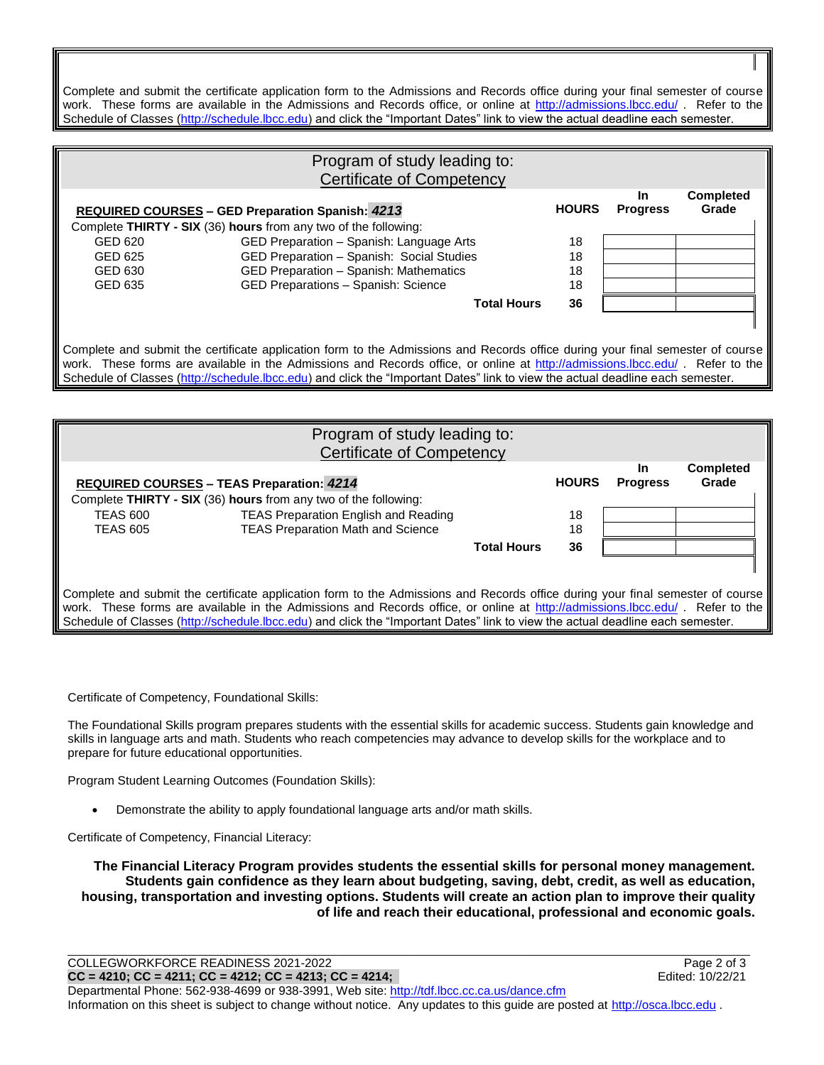Complete and submit the certificate application form to the Admissions and Records office during your final semester of course work. These forms are available in the Admissions and Records office, or online at<http://admissions.lbcc.edu/> . Refer to the Schedule of Classes [\(http://schedule.lbcc.edu\)](http://schedule.lbcc.edu/) and click the "Important Dates" link to view the actual deadline each semester.

|         | Program of study leading to:<br><b>Certificate of Competency</b>                                                                                                                                                                                                                                                                                                                                 |              |                              |                           |
|---------|--------------------------------------------------------------------------------------------------------------------------------------------------------------------------------------------------------------------------------------------------------------------------------------------------------------------------------------------------------------------------------------------------|--------------|------------------------------|---------------------------|
|         | <b>REQUIRED COURSES - GED Preparation Spanish: 4213</b>                                                                                                                                                                                                                                                                                                                                          | <b>HOURS</b> | <b>In</b><br><b>Progress</b> | <b>Completed</b><br>Grade |
|         | Complete THIRTY - SIX (36) hours from any two of the following:                                                                                                                                                                                                                                                                                                                                  |              |                              |                           |
| GED 620 | GED Preparation - Spanish: Language Arts                                                                                                                                                                                                                                                                                                                                                         | 18           |                              |                           |
| GED 625 | GED Preparation - Spanish: Social Studies                                                                                                                                                                                                                                                                                                                                                        | 18           |                              |                           |
| GED 630 | GED Preparation - Spanish: Mathematics                                                                                                                                                                                                                                                                                                                                                           | 18           |                              |                           |
| GED 635 | GED Preparations - Spanish: Science                                                                                                                                                                                                                                                                                                                                                              | 18           |                              |                           |
|         | <b>Total Hours</b>                                                                                                                                                                                                                                                                                                                                                                               | 36           |                              |                           |
|         |                                                                                                                                                                                                                                                                                                                                                                                                  |              |                              |                           |
|         | Complete and submit the certificate application form to the Admissions and Records office during your final semester of course<br>work. These forms are available in the Admissions and Records office, or online at http://admissions.lbcc.edu/. Refer to the<br>Schedule of Classes (http://schedule.lbcc.edu) and click the "Important Dates" link to view the actual deadline each semester. |              |                              |                           |

| Program of study leading to:                                                                                                   |                                                                                                                                                                                                                                                                |                    |              |                        |                           |  |
|--------------------------------------------------------------------------------------------------------------------------------|----------------------------------------------------------------------------------------------------------------------------------------------------------------------------------------------------------------------------------------------------------------|--------------------|--------------|------------------------|---------------------------|--|
| <b>Certificate of Competency</b>                                                                                               |                                                                                                                                                                                                                                                                |                    |              |                        |                           |  |
|                                                                                                                                | <b>REQUIRED COURSES - TEAS Preparation: 4214</b>                                                                                                                                                                                                               |                    | <b>HOURS</b> | In.<br><b>Progress</b> | <b>Completed</b><br>Grade |  |
|                                                                                                                                | Complete THIRTY - SIX (36) hours from any two of the following:                                                                                                                                                                                                |                    |              |                        |                           |  |
| <b>TEAS 600</b>                                                                                                                | <b>TEAS Preparation English and Reading</b>                                                                                                                                                                                                                    |                    | 18           |                        |                           |  |
| <b>TEAS 605</b>                                                                                                                | <b>TEAS Preparation Math and Science</b>                                                                                                                                                                                                                       |                    | 18           |                        |                           |  |
|                                                                                                                                |                                                                                                                                                                                                                                                                | <b>Total Hours</b> | 36           |                        |                           |  |
|                                                                                                                                |                                                                                                                                                                                                                                                                |                    |              |                        |                           |  |
| Complete and submit the certificate application form to the Admissions and Records office during your final semester of course |                                                                                                                                                                                                                                                                |                    |              |                        |                           |  |
|                                                                                                                                | work. These forms are available in the Admissions and Records office, or online at http://admissions.lbcc.edu/. Refer to the<br>Schedule of Classes (http://schedule.lbcc.edu) and click the "Important Dates" link to view the actual deadline each semester. |                    |              |                        |                           |  |

Certificate of Competency, Foundational Skills:

The Foundational Skills program prepares students with the essential skills for academic success. Students gain knowledge and skills in language arts and math. Students who reach competencies may advance to develop skills for the workplace and to prepare for future educational opportunities.

Program Student Learning Outcomes (Foundation Skills):

Demonstrate the ability to apply foundational language arts and/or math skills.

Certificate of Competency, Financial Literacy:

**The Financial Literacy Program provides students the essential skills for personal money management. Students gain confidence as they learn about budgeting, saving, debt, credit, as well as education, housing, transportation and investing options. Students will create an action plan to improve their quality of life and reach their educational, professional and economic goals.**

\_\_\_\_\_\_\_\_\_\_\_\_\_\_\_\_\_\_\_\_\_\_\_\_\_\_\_\_\_\_\_\_\_\_\_\_\_\_\_\_\_\_\_\_\_\_\_\_\_\_\_\_\_\_\_\_\_\_\_\_\_\_\_\_\_\_\_\_\_\_\_\_\_\_\_\_\_\_\_\_\_\_\_\_\_\_\_\_\_\_\_\_\_\_\_\_\_\_\_\_\_\_\_\_\_\_\_\_\_\_\_\_\_\_